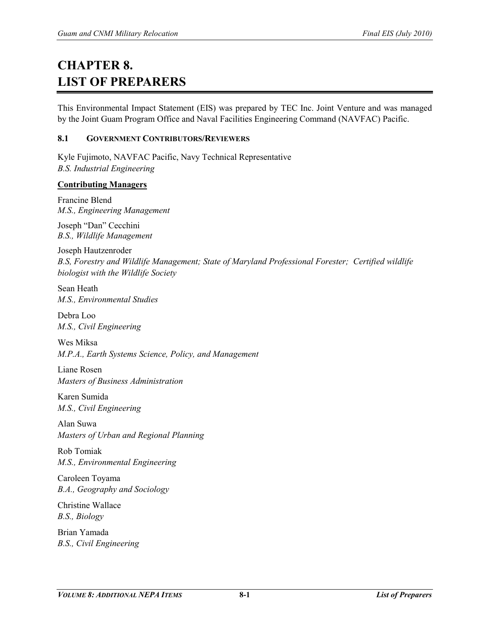# **CHAPTER 8. LIST OF PREPARERS**

This Environmental Impact Statement (EIS) was prepared by TEC Inc. Joint Venture and was managed by the Joint Guam Program Office and Naval Facilities Engineering Command (NAVFAC) Pacific.

#### **8.1 GOVERNMENT CONTRIBUTORS/REVIEWERS**

Kyle Fujimoto, NAVFAC Pacific, Navy Technical Representative *B.S. Industrial Engineering*

#### **Contributing Managers**

Francine Blend *M.S., Engineering Management*

Joseph "Dan" Cecchini *B.S., Wildlife Management*

Joseph Hautzenroder *B.S, Forestry and Wildlife Management; State of Maryland Professional Forester; Certified wildlife biologist with the Wildlife Society*

Sean Heath *M.S., Environmental Studies*

Debra Loo *M.S., Civil Engineering*

Wes Miksa *M.P.A., Earth Systems Science, Policy, and Management*

Liane Rosen *Masters of Business Administration*

Karen Sumida *M.S., Civil Engineering*

Alan Suwa *Masters of Urban and Regional Planning*

Rob Tomiak *M.S., Environmental Engineering*

Caroleen Toyama *B.A., Geography and Sociology*

Christine Wallace *B.S., Biology*

Brian Yamada *B.S., Civil Engineering*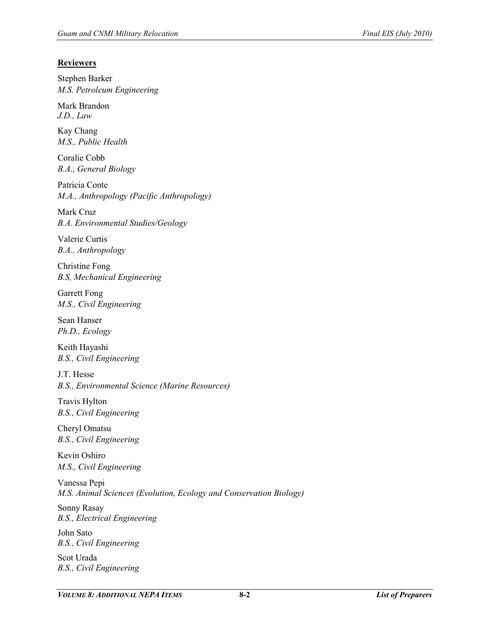## **Reviewers**

Stephen Barker *M.S. Petroleum Engineering*

Mark Brandon *J.D., Law*

Kay Chang *M.S., Public Health*

Coralie Cobb *B.A., General Biology*

Patricia Conte *M.A., Anthropology (Pacific Anthropology)*

Mark Cruz *B.A. Environmental Studies/Geology*

Valerie Curtis *B.A., Anthropology*

Christine Fong *B.S, Mechanical Engineering*

Garrett Fong *M.S., Civil Engineering*

Sean Hanser *Ph.D., Ecology*

Keith Hayashi *B.S., Civil Engineering*

J.T. Hesse *B.S., Environmental Science (Marine Resources)*

Travis Hylton *B.S., Civil Engineering*

Cheryl Omatsu *B.S., Civil Engineering*

Kevin Oshiro *M.S., Civil Engineering*

Vanessa Pepi *M.S. Animal Sciences (Evolution, Ecology and Conservation Biology)*

Sonny Rasay *B.S., Electrical Engineering*

John Sato *B.S., Civil Engineering*

Scot Urada *B.S., Civil Engineering*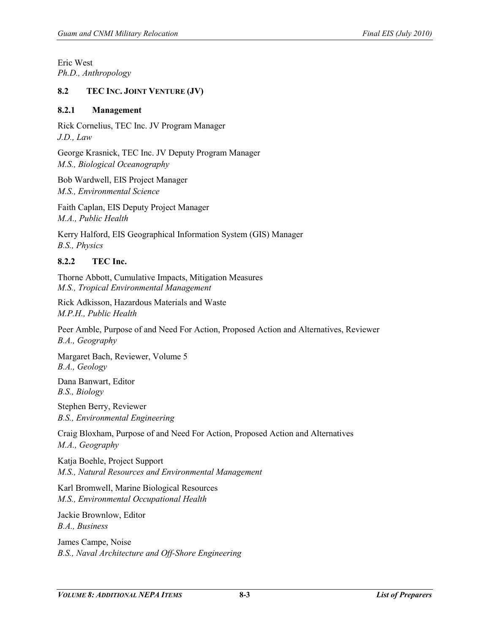Eric West *Ph.D., Anthropology*

#### **8.2 TEC INC. JOINT VENTURE (JV)**

#### **8.2.1 Management**

Rick Cornelius, TEC Inc. JV Program Manager *J.D., Law*

George Krasnick, TEC Inc. JV Deputy Program Manager *M.S., Biological Oceanography*

Bob Wardwell, EIS Project Manager *M.S., Environmental Science* 

Faith Caplan, EIS Deputy Project Manager *M.A., Public Health*

Kerry Halford, EIS Geographical Information System (GIS) Manager *B.S., Physics*

# **8.2.2 TEC Inc.**

Thorne Abbott, Cumulative Impacts, Mitigation Measures *M.S., Tropical Environmental Management*

Rick Adkisson, Hazardous Materials and Waste *M.P.H., Public Health*

Peer Amble, Purpose of and Need For Action, Proposed Action and Alternatives, Reviewer *B.A., Geography*

Margaret Bach, Reviewer, Volume 5 *B.A., Geology*

Dana Banwart, Editor *B.S., Biology*

Stephen Berry, Reviewer *B.S., Environmental Engineering*

Craig Bloxham, Purpose of and Need For Action, Proposed Action and Alternatives *M.A., Geography*

Katja Boehle, Project Support *M.S., Natural Resources and Environmental Management*

Karl Bromwell, Marine Biological Resources *M.S., Environmental Occupational Health* 

Jackie Brownlow, Editor *B.A., Business*

James Campe, Noise *B.S., Naval Architecture and Off-Shore Engineering*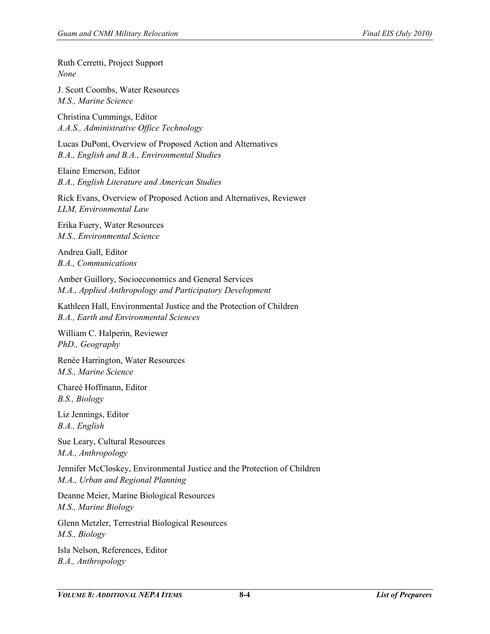Ruth Cerretti, Project Support *None*

J. Scott Coombs, Water Resources *M.S., Marine Science*

Christina Cummings, Editor *A.A.S., Administrative Office Technology*

Lucas DuPont, Overview of Proposed Action and Alternatives *B.A., English and B.A., Environmental Studies*

Elaine Emerson, Editor *B.A., English Literature and American Studies*

Rick Evans, Overview of Proposed Action and Alternatives, Reviewer *LLM, Environmental Law*

Erika Fuery, Water Resources *M.S., Environmental Science*

Andrea Gall, Editor *B.A., Communications*

Amber Guillory, Socioeconomics and General Services *M.A., Applied Anthropology and Participatory Development* 

Kathleen Hall, Environmental Justice and the Protection of Children *B.A., Earth and Environmental Sciences*

William C. Halperin, Reviewer *PhD., Geography* 

Renée Harrington, Water Resources *M.S., Marine Science* 

Chareé Hoffmann, Editor *B.S., Biology* 

Liz Jennings, Editor *B.A., English* 

Sue Leary, Cultural Resources *M.A., Anthropology*

Jennifer McCloskey, Environmental Justice and the Protection of Children *M.A., Urban and Regional Planning*

Deanne Meier, Marine Biological Resources *M.S., Marine Biology*

Glenn Metzler, Terrestrial Biological Resources *M.S., Biology*

Isla Nelson, References, Editor *B.A., Anthropology*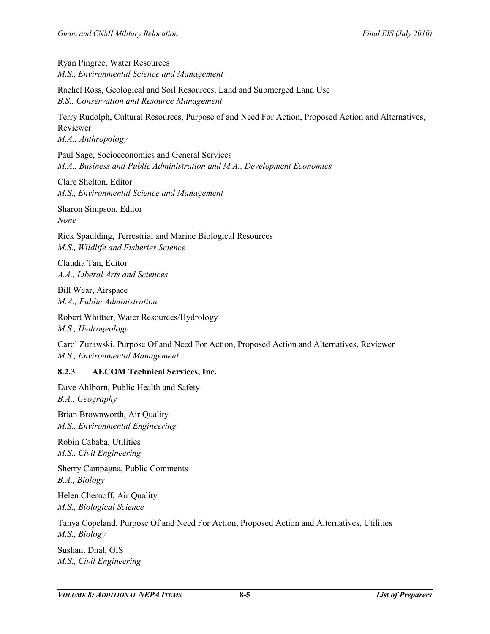Ryan Pingree, Water Resources *M.S., Environmental Science and Management* 

Rachel Ross, Geological and Soil Resources, Land and Submerged Land Use *B.S., Conservation and Resource Management*

Terry Rudolph, Cultural Resources, Purpose of and Need For Action, Proposed Action and Alternatives, Reviewer *M.A., Anthropology*

Paul Sage, Socioeconomics and General Services *M.A., Business and Public Administration and M.A., Development Economics*

Clare Shelton, Editor *M.S., Environmental Science and Management* 

Sharon Simpson, Editor *None*

Rick Spaulding, Terrestrial and Marine Biological Resources *M.S., Wildlife and Fisheries Science*

Claudia Tan, Editor *A.A., Liberal Arts and Sciences*

Bill Wear, Airspace *M.A., Public Administration* 

Robert Whittier, Water Resources/Hydrology *M.S., Hydrogeology*

Carol Zurawski, Purpose Of and Need For Action, Proposed Action and Alternatives, Reviewer *M.S., Environmental Management* 

#### **8.2.3 AECOM Technical Services, Inc.**

Dave Ahlborn, Public Health and Safety *B.A., Geography*

Brian Brownworth, Air Quality *M.S., Environmental Engineering*

Robin Cababa, Utilities *M.S., Civil Engineering*

Sherry Campagna, Public Comments *B.A., Biology*

Helen Chernoff, Air Quality *M.S., Biological Science*

Tanya Copeland, Purpose Of and Need For Action, Proposed Action and Alternatives, Utilities *M.S., Biology*

Sushant Dhal, GIS *M.S., Civil Engineering*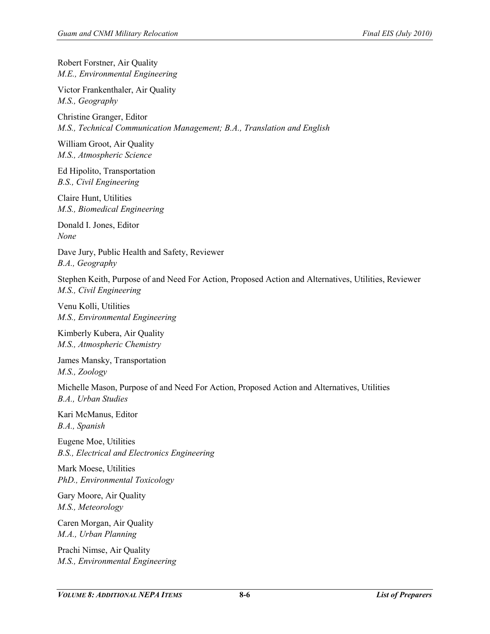Robert Forstner, Air Quality *M.E., Environmental Engineering*

Victor Frankenthaler, Air Quality *M.S., Geography* 

Christine Granger, Editor *M.S., Technical Communication Management; B.A., Translation and English* 

William Groot, Air Quality *M.S., Atmospheric Science*

Ed Hipolito, Transportation *B.S., Civil Engineering* 

Claire Hunt, Utilities *M.S., Biomedical Engineering* 

Donald I. Jones, Editor *None*

Dave Jury, Public Health and Safety, Reviewer *B.A., Geography* 

Stephen Keith, Purpose of and Need For Action, Proposed Action and Alternatives, Utilities, Reviewer *M.S., Civil Engineering* 

Venu Kolli, Utilities *M.S., Environmental Engineering* 

Kimberly Kubera, Air Quality *M.S., Atmospheric Chemistry*

James Mansky, Transportation *M.S., Zoology*

Michelle Mason, Purpose of and Need For Action, Proposed Action and Alternatives, Utilities *B.A., Urban Studies*

Kari McManus, Editor *B.A., Spanish*

Eugene Moe, Utilities *B.S., Electrical and Electronics Engineering* 

Mark Moese, Utilities *PhD., Environmental Toxicology* 

Gary Moore, Air Quality *M.S., Meteorology*

Caren Morgan, Air Quality *M.A., Urban Planning*

Prachi Nimse, Air Quality *M.S., Environmental Engineering*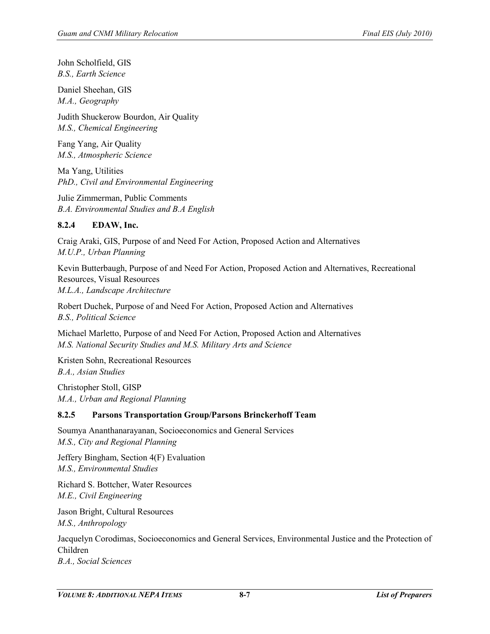John Scholfield, GIS *B.S., Earth Science*

Daniel Sheehan, GIS *M.A., Geography* 

Judith Shuckerow Bourdon, Air Quality *M.S., Chemical Engineering*

Fang Yang, Air Quality *M.S., Atmospheric Science*

Ma Yang, Utilities *PhD., Civil and Environmental Engineering* 

Julie Zimmerman, Public Comments *B.A. Environmental Studies and B.A English* 

# **8.2.4 EDAW, Inc.**

Craig Araki, GIS, Purpose of and Need For Action, Proposed Action and Alternatives *M.U.P., Urban Planning*

Kevin Butterbaugh, Purpose of and Need For Action, Proposed Action and Alternatives, Recreational Resources, Visual Resources *M.L.A., Landscape Architecture*

Robert Duchek, Purpose of and Need For Action, Proposed Action and Alternatives *B.S., Political Science*

Michael Marletto, Purpose of and Need For Action, Proposed Action and Alternatives *M.S. National Security Studies and M.S. Military Arts and Science*

Kristen Sohn, Recreational Resources *B.A., Asian Studies*

Christopher Stoll, GISP *M.A., Urban and Regional Planning* 

# **8.2.5 Parsons Transportation Group/Parsons Brinckerhoff Team**

Soumya Ananthanarayanan, Socioeconomics and General Services *M.S., City and Regional Planning*

Jeffery Bingham, Section 4(F) Evaluation *M.S., Environmental Studies*

Richard S. Bottcher, Water Resources *M.E., Civil Engineering*

Jason Bright, Cultural Resources *M.S., Anthropology*

Jacquelyn Corodimas, Socioeconomics and General Services, Environmental Justice and the Protection of Children *B.A., Social Sciences*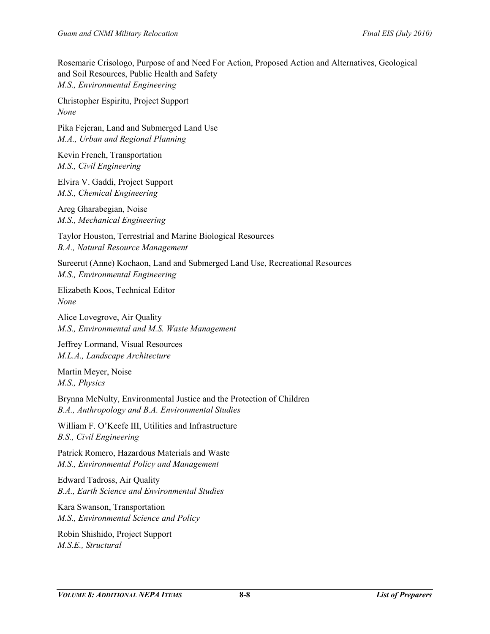Rosemarie Crisologo, Purpose of and Need For Action, Proposed Action and Alternatives, Geological and Soil Resources, Public Health and Safety *M.S., Environmental Engineering*

Christopher Espiritu, Project Support *None*

Pika Fejeran, Land and Submerged Land Use *M.A., Urban and Regional Planning*

Kevin French, Transportation *M.S., Civil Engineering*

Elvira V. Gaddi, Project Support *M.S., Chemical Engineering*

Areg Gharabegian, Noise *M.S., Mechanical Engineering* 

Taylor Houston, Terrestrial and Marine Biological Resources *B.A., Natural Resource Management*

Sureerut (Anne) Kochaon, Land and Submerged Land Use, Recreational Resources *M.S., Environmental Engineering*

Elizabeth Koos, Technical Editor *None*

Alice Lovegrove, Air Quality *M.S., Environmental and M.S. Waste Management*

Jeffrey Lormand, Visual Resources *M.L.A., Landscape Architecture*

Martin Meyer, Noise *M.S., Physics*

Brynna McNulty, Environmental Justice and the Protection of Children *B.A., Anthropology and B.A. Environmental Studies*

William F. O'Keefe III, Utilities and Infrastructure *B.S., Civil Engineering*

Patrick Romero, Hazardous Materials and Waste *M.S., Environmental Policy and Management*

Edward Tadross, Air Quality *B.A., Earth Science and Environmental Studies*

Kara Swanson, Transportation *M.S., Environmental Science and Policy*

Robin Shishido, Project Support *M.S.E., Structural*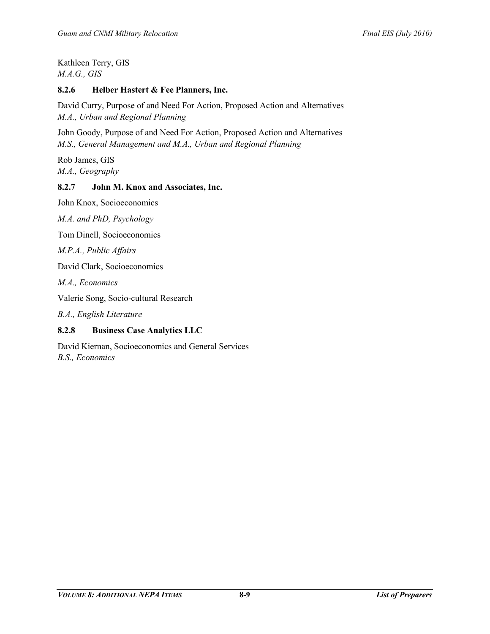Kathleen Terry, GIS *M.A.G., GIS*

#### **8.2.6 Helber Hastert & Fee Planners, Inc.**

David Curry, Purpose of and Need For Action, Proposed Action and Alternatives *M.A., Urban and Regional Planning*

John Goody, Purpose of and Need For Action, Proposed Action and Alternatives *M.S., General Management and M.A., Urban and Regional Planning*

Rob James, GIS *M.A., Geography*

## **8.2.7 John M. Knox and Associates, Inc.**

John Knox, Socioeconomics

*M.A. and PhD, Psychology*

Tom Dinell, Socioeconomics

*M.P.A., Public Affairs*

David Clark, Socioeconomics

*M.A., Economics*

Valerie Song, Socio-cultural Research

*B.A., English Literature*

# **8.2.8 Business Case Analytics LLC**

David Kiernan, Socioeconomics and General Services *B.S., Economics*